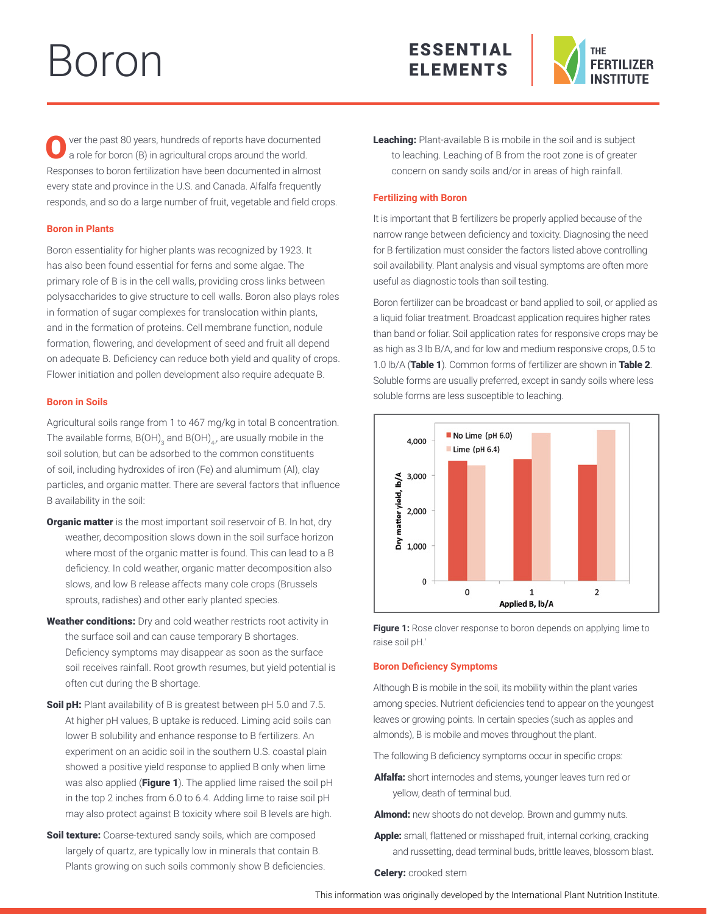# Boron





ver the past 80 years, hundreds of reports have documented a role for boron (B) in agricultural crops around the world. Responses to boron fertilization have been documented in almost every state and province in the U.S. and Canada. Alfalfa frequently responds, and so do a large number of fruit, vegetable and field crops.

# **Boron in Plants**

Boron essentiality for higher plants was recognized by 1923. It has also been found essential for ferns and some algae. The primary role of B is in the cell walls, providing cross links between polysaccharides to give structure to cell walls. Boron also plays roles in formation of sugar complexes for translocation within plants, and in the formation of proteins. Cell membrane function, nodule formation, flowering, and development of seed and fruit all depend on adequate B. Deficiency can reduce both yield and quality of crops. Flower initiation and pollen development also require adequate B.

# **Boron in Soils**

Agricultural soils range from 1 to 467 mg/kg in total B concentration. The available forms, B(OH)<sub>3</sub> and B(OH)<sub>4</sub>, are usually mobile in the soil solution, but can be adsorbed to the common constituents of soil, including hydroxides of iron (Fe) and alumimum (Al), clay particles, and organic matter. There are several factors that influence B availability in the soil:

- **Organic matter** is the most important soil reservoir of B. In hot, dry weather, decomposition slows down in the soil surface horizon where most of the organic matter is found. This can lead to a B deficiency. In cold weather, organic matter decomposition also slows, and low B release affects many cole crops (Brussels sprouts, radishes) and other early planted species.
- Weather conditions: Dry and cold weather restricts root activity in the surface soil and can cause temporary B shortages. Deficiency symptoms may disappear as soon as the surface soil receives rainfall. Root growth resumes, but yield potential is often cut during the B shortage.
- Soil pH: Plant availability of B is greatest between pH 5.0 and 7.5. At higher pH values, B uptake is reduced. Liming acid soils can lower B solubility and enhance response to B fertilizers. An experiment on an acidic soil in the southern U.S. coastal plain showed a positive yield response to applied B only when lime was also applied (Figure 1). The applied lime raised the soil pH in the top 2 inches from 6.0 to 6.4. Adding lime to raise soil pH may also protect against B toxicity where soil B levels are high.
- Soil texture: Coarse-textured sandy soils, which are composed largely of quartz, are typically low in minerals that contain B. Plants growing on such soils commonly show B deficiencies.

Leaching: Plant-available B is mobile in the soil and is subject to leaching. Leaching of B from the root zone is of greater concern on sandy soils and/or in areas of high rainfall.

# **Fertilizing with Boron**

It is important that B fertilizers be properly applied because of the narrow range between deficiency and toxicity. Diagnosing the need for B fertilization must consider the factors listed above controlling soil availability. Plant analysis and visual symptoms are often more useful as diagnostic tools than soil testing.

Boron fertilizer can be broadcast or band applied to soil, or applied as a liquid foliar treatment. Broadcast application requires higher rates than band or foliar. Soil application rates for responsive crops may be as high as 3 lb B/A, and for low and medium responsive crops, 0.5 to 1.0 lb/A (Table 1). Common forms of fertilizer are shown in Table 2. Soluble forms are usually preferred, except in sandy soils where less soluble forms are less susceptible to leaching.





## **Boron Deficiency Symptoms**

Although B is mobile in the soil, its mobility within the plant varies among species. Nutrient deficiencies tend to appear on the youngest leaves or growing points. In certain species (such as apples and almonds), B is mobile and moves throughout the plant.

The following B deficiency symptoms occur in specific crops:

Alfalfa: short internodes and stems, younger leaves turn red or yellow, death of terminal bud.

**Almond:** new shoots do not develop. Brown and gummy nuts.

Apple: small, flattened or misshaped fruit, internal corking, cracking and russetting, dead terminal buds, brittle leaves, blossom blast.

**Celery:** crooked stem

This information was originally developed by the International Plant Nutrition Institute.